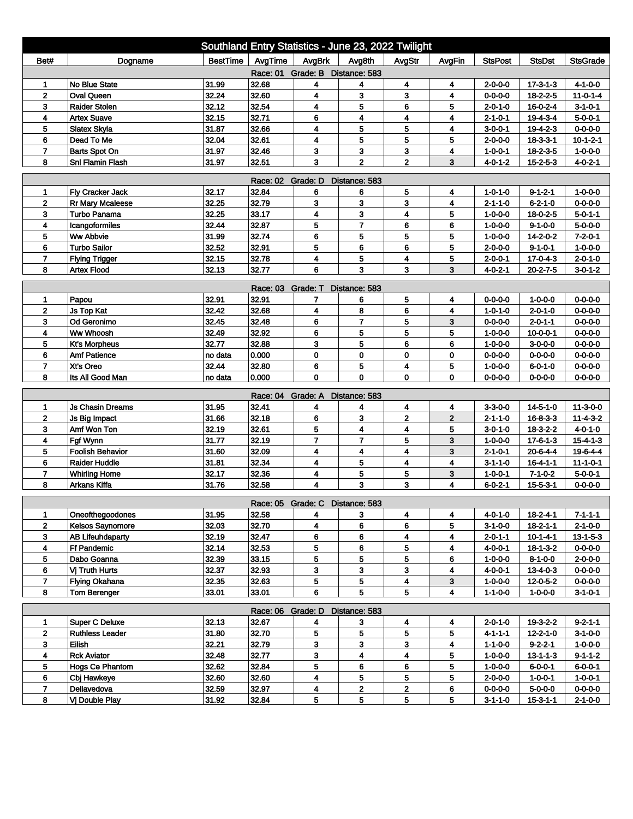| AvgTime<br>AvgBrk<br><b>BestTime</b><br>Avg8th<br>AvgStr<br><b>StsPost</b><br><b>StsDst</b><br><b>StsGrade</b><br>Bet#<br>Dogname<br>AvgFin<br>Race: 01 Grade: B Distance: 583<br><b>No Blue State</b><br>31.99<br>32.68<br>4<br>4<br>4<br>$17 - 3 - 1 - 3$<br>$4 - 1 - 0 - 0$<br>4<br>2-0-0-0<br>1<br>$\overline{2}$<br>32.24<br>4<br>3<br>3<br>4<br><b>Oval Queen</b><br>32.60<br>$11 - 0 - 1 - 4$<br>$0 - 0 - 0 - 0$<br>18-2-2-5<br>32.12<br>32.54<br>4<br>5<br>3<br><b>Raider Stolen</b><br>6<br>5<br>$2 - 0 - 1 - 0$<br>$16 - 0 - 2 - 4$<br>$3 - 1 - 0 - 1$<br>32.71<br>4<br>4<br><b>Artex Suave</b><br>32.15<br>6<br>4<br>4<br>$2 - 1 - 0 - 1$<br>19-4-3-4<br>$5 - 0 - 0 - 1$<br>31.87<br>4<br>5<br>5<br>5<br>32.66<br>4<br>$19 - 4 - 2 - 3$<br>$0 - 0 - 0 - 0$<br>Slatex Skyla<br>$3 - 0 - 0 - 1$<br>5<br>32.04<br>32.61<br>4<br>5<br>5<br>6<br>Dead To Me<br>$2 - 0 - 0 - 0$<br>$18 - 3 - 3 - 1$<br>$10 - 1 - 2 - 1$<br>$\overline{7}$<br>31.97<br>32.46<br>3<br>3<br>3<br>4<br>$1 - 0 - 0 - 0$<br><b>Barts Spot On</b><br>$1 - 0 - 0 - 1$<br>$18 - 2 - 3 - 5$<br>$\overline{2}$<br>$\overline{2}$<br>32.51<br>3<br>3<br>8<br>Snl Flamin Flash<br>31.97<br>$4 - 0 - 1 - 2$<br>$15 - 2 - 5 - 3$<br>$4 - 0 - 2 - 1$<br>Race: 02 Grade: D<br>Distance: 583<br>32.17<br>Fly Cracker Jack<br>32.84<br>5<br>$9 - 1 - 2 - 1$<br>$1 - 0 - 0 - 0$<br>6<br>6<br>4<br>1-0-1-0<br>1<br>32.25<br>3<br>3<br>3<br>32.79<br>$0 - 0 - 0 - 0$<br>$\mathbf{2}$<br>Rr Mary Mcaleese<br>4<br>$2 - 1 - 1 - 0$<br>$6 - 2 - 1 - 0$<br>$\overline{\mathbf{4}}$<br>4<br>32.25<br>33.17<br>3<br>5<br>3<br><b>Turbo Panama</b><br>$5 - 0 - 1 - 1$<br>$1 - 0 - 0 - 0$<br>18-0-2-5<br>32.44<br>32.87<br>5<br>$\overline{\mathbf{r}}$<br>6<br>6<br>$5 - 0 - 0 - 0$<br>4<br>Icangoformiles<br>$1 - 0 - 0 - 0$<br>$9 - 1 - 0 - 0$<br><b>Ww Abbvie</b><br>31.99<br>32.74<br>6<br>5<br>5<br>14-2-0-2<br>$7 - 2 - 0 - 1$<br>5<br>5<br>$1 - 0 - 0 - 0$<br>5<br>6<br>6<br>5<br>6<br><b>Turbo Sailor</b><br>32.52<br>32.91<br>$1 - 0 - 0 - 0$<br>$2 - 0 - 0 - 0$<br>$9 - 1 - 0 - 1$<br>5<br>5<br>$\overline{7}$<br>32.15<br>4<br>4<br><b>Flying Trigger</b><br>32.78<br>$2 - 0 - 0 - 1$<br>17-0-4-3<br>$2 - 0 - 1 - 0$<br>6<br>3<br>3<br>3<br>8<br>32.13<br>32.77<br><b>Artex Flood</b><br>4-0-2-1<br>$20 - 2 - 7 - 5$<br>$3 - 0 - 1 - 2$<br>Race: 03 Grade: T<br>Distance: 583<br>Papou<br>32.91<br>32.91<br>5<br>4<br>$0 - 0 - 0 - 0$<br>$1 - 0 - 0 - 0$<br>$0 - 0 - 0 - 0$<br>1<br>7<br>6<br>32.42<br>32.68<br>$0 - 0 - 0 - 0$<br>2<br><b>Js Top Kat</b><br>4<br>8<br>6<br>4<br>$1 - 0 - 1 - 0$<br>$2 - 0 - 1 - 0$<br>32.45<br>6<br>7<br>5<br>3<br>Od Geronimo<br>32.48<br>3<br>$2 - 0 - 1 - 1$<br>$0 - 0 - 0 - 0$<br>$0 - 0 - 0 - 0$<br>5<br>5<br>5<br>32.49<br>32.92<br>6<br>4<br>Ww Whoosh<br>$0 - 0 - 0 - 0$<br>$1 - 0 - 0 - 0$<br>$10 - 0 - 0 - 1$<br>5<br>6<br>3<br>6<br>5<br>32.77<br>32.88<br>$3 - 0 - 0 - 0$<br>$0 - 0 - 0 - 0$<br><b>Kt's Morpheus</b><br>$1 - 0 - 0 - 0$<br>0.000<br>0<br>0<br>$0 - 0 - 0 - 0$<br>$0 - 0 - 0 - 0$<br>$0 - 0 - 0 - 0$<br>6<br><b>Amf Patience</b><br>no data<br>0<br>0<br>5<br>$\overline{ }$<br>Xt's Oreo<br>32.44<br>32.80<br>6<br>4<br>5<br>$1 - 0 - 0 - 0$<br>$0 - 0 - 0 - 0$<br>6-0-1-0<br>$\mathbf 0$<br>0<br>8<br>Its All Good Man<br>0.000<br>0<br>0<br>0-0-0-0<br>$0 - 0 - 0 - 0$<br>$0 - 0 - 0 - 0$<br>no data<br>Race: 04 Grade: A<br>Distance: 583<br><b>Js Chasin Dreams</b><br>31.95<br>32.41<br>4<br>$11 - 3 - 0 - 0$<br>4<br>4<br>$3 - 3 - 0 - 0$<br>$14 - 5 - 1 - 0$<br>4<br>1<br>$\overline{2}$<br>6<br>3<br>$\overline{\mathbf{2}}$<br>$\mathbf{2}$<br>31.66<br>32.18<br>$11 - 4 - 3 - 2$<br>Js Big Impact<br>$2 - 1 - 1 - 0$<br>$16 - 8 - 3 - 3$<br>Amf Won Ton<br>32.19<br>5<br>4<br>4<br>5<br>$4 - 0 - 1 - 0$<br>3<br>32.61<br>$3 - 0 - 1 - 0$<br>$18 - 3 - 2 - 2$<br>$\overline{7}$<br>$\overline{7}$<br>5<br>4<br>Fgf Wynn<br>31.77<br>32.19<br>3<br>$1 - 0 - 0 - 0$<br>$17 - 6 - 1 - 3$<br>$15 - 4 - 1 - 3$<br>31.60<br>4<br>4<br>3<br>5<br><b>Foolish Behavior</b><br>32.09<br>4<br>$19 - 6 - 4 - 4$<br>$2 - 1 - 0 - 1$<br>$20 - 6 - 4 - 4$<br>31.81<br>32.34<br>4<br>5<br>4<br>4<br>6<br><b>Raider Huddle</b><br>$3 - 1 - 1 - 0$<br>$16 - 4 - 1 - 1$<br>$11 - 1 - 0 - 1$<br>$\overline{7}$<br>32.17<br>32.36<br>4<br>5<br>5<br>3<br>$5 - 0 - 0 - 1$<br><b>Whirling Home</b><br>$1 - 0 - 0 - 1$<br>$7 - 1 - 0 - 2$<br>3<br>3<br>8<br><b>Arkans Kiffa</b><br>31.76<br>32.58<br>4<br>4<br>$15 - 5 - 3 - 1$<br>$0 - 0 - 0 - 0$<br>6-0-2-1<br>Race: 05 Grade: C Distance: 583<br>Oneofthegoodones<br>31.95<br>32.58<br>3<br>4<br>4<br>4-0-1-0<br>18-2-4-1<br>7-1-1-1<br>1<br>4<br>32.03<br>32.70<br>6<br>$\overline{2}$<br>Kelsos Saynomore<br>4<br>6<br>5<br>$3 - 1 - 0 - 0$<br>$18 - 2 - 1 - 1$<br>$2 - 1 - 0 - 0$<br>4<br>32.19<br>6<br>6<br>4<br>3<br>32.47<br>$13 - 1 - 5 - 3$<br><b>AB Lifeuhdaparty</b><br>$2 - 0 - 1 - 1$<br>10-1-4-1<br>32.14<br>32.53<br>5<br>6<br>5<br>4<br>$0 - 0 - 0 - 0$<br>4<br><b>Ff Pandemic</b><br>$4 - 0 - 0 - 1$<br>$18 - 1 - 3 - 2$<br>32.39<br>33.15<br>5<br>5<br>5<br>$2 - 0 - 0 - 0$<br>5<br>Dabo Goanna<br>6<br>$1 - 0 - 0 - 0$<br>$8 - 1 - 0 - 0$<br>3<br>3<br>3<br>32.37<br>32.93<br>6<br>Vj Truth Hurts<br>4<br>$4 - 0 - 0 - 1$<br>$13 - 4 - 0 - 3$<br>$0 - 0 - 0 - 0$<br>5<br>5<br>$\overline{\mathbf{4}}$<br>$\overline{7}$<br>32.35<br>32.63<br><b>Flying Okahana</b><br>3<br>$1 - 0 - 0 - 0$<br>$0 - 0 - 0 - 0$<br>12-0-5-2<br>5<br>5<br>6<br>4<br>8<br>33.01<br>33.01<br><b>Tom Berenger</b><br>$1 - 1 - 0 - 0$<br>$1 - 0 - 0 - 0$<br>$3 - 1 - 0 - 1$<br>Race: 06 Grade: D<br>Distance: 583<br><b>Super C Deluxe</b><br>32.13<br>32.67<br>19-3-2-2<br>$9 - 2 - 1 - 1$<br>1<br>4<br>3<br>4<br>4<br>$2 - 0 - 1 - 0$<br>32.70<br>5<br>$\mathbf{2}$<br><b>Ruthless Leader</b><br>31.80<br>5<br>5<br>5<br>$12 - 2 - 1 - 0$<br>$4 - 1 - 1$<br>$3 - 1 - 0 - 0$<br>3<br>Eilish<br>32.21<br>3<br>3<br>3<br>32.79<br>4<br>$9 - 2 - 2 - 1$<br>1-1-0-0<br>1-0-0-0<br>3<br>4<br>$\overline{4}$<br><b>Rck Aviator</b><br>32.48<br>32.77<br>5<br>4<br>$1 - 0 - 0 - 0$<br>$13 - 1 - 1 - 3$<br>$9 - 1 - 1 - 2$<br>5<br>6<br>5<br>5<br>6<br><b>Hogs Ce Phantom</b><br>32.62<br>32.84<br>1-0-0-0<br>$6 - 0 - 0 - 1$<br>6-0-0-1<br>5<br>32.60<br>32.60<br>4<br>5<br>5<br>$2 - 0 - 0 - 0$<br>6<br>Cbj Hawkeye<br>$1 - 0 - 0 - 1$<br>$1 - 0 - 0 - 1$<br>$\overline{\mathbf{2}}$<br>$\overline{7}$<br>Dellavedova<br>32.59<br>32.97<br>4<br>$\overline{\mathbf{2}}$<br>$5 - 0 - 0 - 0$<br>$0 - 0 - 0 - 0$<br>6<br>$0 - 0 - 0 - 0$<br>5<br>8<br>5<br>5<br>5<br><b>Vi Double Play</b><br>31.92<br>32.84<br>$2 - 1 - 0 - 0$<br>$3 - 1 - 1 - 0$<br>$15 - 3 - 1 - 1$ | Southland Entry Statistics - June 23, 2022 Twilight |  |  |  |  |  |  |  |  |  |  |  |
|-------------------------------------------------------------------------------------------------------------------------------------------------------------------------------------------------------------------------------------------------------------------------------------------------------------------------------------------------------------------------------------------------------------------------------------------------------------------------------------------------------------------------------------------------------------------------------------------------------------------------------------------------------------------------------------------------------------------------------------------------------------------------------------------------------------------------------------------------------------------------------------------------------------------------------------------------------------------------------------------------------------------------------------------------------------------------------------------------------------------------------------------------------------------------------------------------------------------------------------------------------------------------------------------------------------------------------------------------------------------------------------------------------------------------------------------------------------------------------------------------------------------------------------------------------------------------------------------------------------------------------------------------------------------------------------------------------------------------------------------------------------------------------------------------------------------------------------------------------------------------------------------------------------------------------------------------------------------------------------------------------------------------------------------------------------------------------------------------------------------------------------------------------------------------------------------------------------------------------------------------------------------------------------------------------------------------------------------------------------------------------------------------------------------------------------------------------------------------------------------------------------------------------------------------------------------------------------------------------------------------------------------------------------------------------------------------------------------------------------------------------------------------------------------------------------------------------------------------------------------------------------------------------------------------------------------------------------------------------------------------------------------------------------------------------------------------------------------------------------------------------------------------------------------------------------------------------------------------------------------------------------------------------------------------------------------------------------------------------------------------------------------------------------------------------------------------------------------------------------------------------------------------------------------------------------------------------------------------------------------------------------------------------------------------------------------------------------------------------------------------------------------------------------------------------------------------------------------------------------------------------------------------------------------------------------------------------------------------------------------------------------------------------------------------------------------------------------------------------------------------------------------------------------------------------------------------------------------------------------------------------------------------------------------------------------------------------------------------------------------------------------------------------------------------------------------------------------------------------------------------------------------------------------------------------------------------------------------------------------------------------------------------------------------------------------------------------------------------------------------------------------------------------------------------------------------------------------------------------------------------------------------------------------------------------------------------------------------------------------------------------------------------------------------------------------------------------------------------------------------------------------------------------------------------------------------------------------------------------------------------------------------------------------------------------------------------------------------------------------------------------------------------------------------------------------------------------------------------------------------------------------------------------------------------------------------------------------------------------------------------------------------------------------------------------------------------------------------------------------------------------------------------------------------------------------------------------------------------------------------------------------------------------------------------------------------------------------------------------------------------------------------------------------------------------------------------------------------------------------------------------------------------------------------------------------------------------------------------------------------------------------------------------------------------------------------------------------------------------------------------------------------------------------------------------------------------------------------------------------------------------------------------------------------------------------------------------------------------------------------------------|-----------------------------------------------------|--|--|--|--|--|--|--|--|--|--|--|
|                                                                                                                                                                                                                                                                                                                                                                                                                                                                                                                                                                                                                                                                                                                                                                                                                                                                                                                                                                                                                                                                                                                                                                                                                                                                                                                                                                                                                                                                                                                                                                                                                                                                                                                                                                                                                                                                                                                                                                                                                                                                                                                                                                                                                                                                                                                                                                                                                                                                                                                                                                                                                                                                                                                                                                                                                                                                                                                                                                                                                                                                                                                                                                                                                                                                                                                                                                                                                                                                                                                                                                                                                                                                                                                                                                                                                                                                                                                                                                                                                                                                                                                                                                                                                                                                                                                                                                                                                                                                                                                                                                                                                                                                                                                                                                                                                                                                                                                                                                                                                                                                                                                                                                                                                                                                                                                                                                                                                                                                                                                                                                                                                                                                                                                                                                                                                                                                                                                                                                                                                                                                                                                                                                                                                                                                                                                                                                                                                                                                                                                                                                                                                               |                                                     |  |  |  |  |  |  |  |  |  |  |  |
|                                                                                                                                                                                                                                                                                                                                                                                                                                                                                                                                                                                                                                                                                                                                                                                                                                                                                                                                                                                                                                                                                                                                                                                                                                                                                                                                                                                                                                                                                                                                                                                                                                                                                                                                                                                                                                                                                                                                                                                                                                                                                                                                                                                                                                                                                                                                                                                                                                                                                                                                                                                                                                                                                                                                                                                                                                                                                                                                                                                                                                                                                                                                                                                                                                                                                                                                                                                                                                                                                                                                                                                                                                                                                                                                                                                                                                                                                                                                                                                                                                                                                                                                                                                                                                                                                                                                                                                                                                                                                                                                                                                                                                                                                                                                                                                                                                                                                                                                                                                                                                                                                                                                                                                                                                                                                                                                                                                                                                                                                                                                                                                                                                                                                                                                                                                                                                                                                                                                                                                                                                                                                                                                                                                                                                                                                                                                                                                                                                                                                                                                                                                                                               |                                                     |  |  |  |  |  |  |  |  |  |  |  |
|                                                                                                                                                                                                                                                                                                                                                                                                                                                                                                                                                                                                                                                                                                                                                                                                                                                                                                                                                                                                                                                                                                                                                                                                                                                                                                                                                                                                                                                                                                                                                                                                                                                                                                                                                                                                                                                                                                                                                                                                                                                                                                                                                                                                                                                                                                                                                                                                                                                                                                                                                                                                                                                                                                                                                                                                                                                                                                                                                                                                                                                                                                                                                                                                                                                                                                                                                                                                                                                                                                                                                                                                                                                                                                                                                                                                                                                                                                                                                                                                                                                                                                                                                                                                                                                                                                                                                                                                                                                                                                                                                                                                                                                                                                                                                                                                                                                                                                                                                                                                                                                                                                                                                                                                                                                                                                                                                                                                                                                                                                                                                                                                                                                                                                                                                                                                                                                                                                                                                                                                                                                                                                                                                                                                                                                                                                                                                                                                                                                                                                                                                                                                                               |                                                     |  |  |  |  |  |  |  |  |  |  |  |
|                                                                                                                                                                                                                                                                                                                                                                                                                                                                                                                                                                                                                                                                                                                                                                                                                                                                                                                                                                                                                                                                                                                                                                                                                                                                                                                                                                                                                                                                                                                                                                                                                                                                                                                                                                                                                                                                                                                                                                                                                                                                                                                                                                                                                                                                                                                                                                                                                                                                                                                                                                                                                                                                                                                                                                                                                                                                                                                                                                                                                                                                                                                                                                                                                                                                                                                                                                                                                                                                                                                                                                                                                                                                                                                                                                                                                                                                                                                                                                                                                                                                                                                                                                                                                                                                                                                                                                                                                                                                                                                                                                                                                                                                                                                                                                                                                                                                                                                                                                                                                                                                                                                                                                                                                                                                                                                                                                                                                                                                                                                                                                                                                                                                                                                                                                                                                                                                                                                                                                                                                                                                                                                                                                                                                                                                                                                                                                                                                                                                                                                                                                                                                               |                                                     |  |  |  |  |  |  |  |  |  |  |  |
|                                                                                                                                                                                                                                                                                                                                                                                                                                                                                                                                                                                                                                                                                                                                                                                                                                                                                                                                                                                                                                                                                                                                                                                                                                                                                                                                                                                                                                                                                                                                                                                                                                                                                                                                                                                                                                                                                                                                                                                                                                                                                                                                                                                                                                                                                                                                                                                                                                                                                                                                                                                                                                                                                                                                                                                                                                                                                                                                                                                                                                                                                                                                                                                                                                                                                                                                                                                                                                                                                                                                                                                                                                                                                                                                                                                                                                                                                                                                                                                                                                                                                                                                                                                                                                                                                                                                                                                                                                                                                                                                                                                                                                                                                                                                                                                                                                                                                                                                                                                                                                                                                                                                                                                                                                                                                                                                                                                                                                                                                                                                                                                                                                                                                                                                                                                                                                                                                                                                                                                                                                                                                                                                                                                                                                                                                                                                                                                                                                                                                                                                                                                                                               |                                                     |  |  |  |  |  |  |  |  |  |  |  |
|                                                                                                                                                                                                                                                                                                                                                                                                                                                                                                                                                                                                                                                                                                                                                                                                                                                                                                                                                                                                                                                                                                                                                                                                                                                                                                                                                                                                                                                                                                                                                                                                                                                                                                                                                                                                                                                                                                                                                                                                                                                                                                                                                                                                                                                                                                                                                                                                                                                                                                                                                                                                                                                                                                                                                                                                                                                                                                                                                                                                                                                                                                                                                                                                                                                                                                                                                                                                                                                                                                                                                                                                                                                                                                                                                                                                                                                                                                                                                                                                                                                                                                                                                                                                                                                                                                                                                                                                                                                                                                                                                                                                                                                                                                                                                                                                                                                                                                                                                                                                                                                                                                                                                                                                                                                                                                                                                                                                                                                                                                                                                                                                                                                                                                                                                                                                                                                                                                                                                                                                                                                                                                                                                                                                                                                                                                                                                                                                                                                                                                                                                                                                                               |                                                     |  |  |  |  |  |  |  |  |  |  |  |
|                                                                                                                                                                                                                                                                                                                                                                                                                                                                                                                                                                                                                                                                                                                                                                                                                                                                                                                                                                                                                                                                                                                                                                                                                                                                                                                                                                                                                                                                                                                                                                                                                                                                                                                                                                                                                                                                                                                                                                                                                                                                                                                                                                                                                                                                                                                                                                                                                                                                                                                                                                                                                                                                                                                                                                                                                                                                                                                                                                                                                                                                                                                                                                                                                                                                                                                                                                                                                                                                                                                                                                                                                                                                                                                                                                                                                                                                                                                                                                                                                                                                                                                                                                                                                                                                                                                                                                                                                                                                                                                                                                                                                                                                                                                                                                                                                                                                                                                                                                                                                                                                                                                                                                                                                                                                                                                                                                                                                                                                                                                                                                                                                                                                                                                                                                                                                                                                                                                                                                                                                                                                                                                                                                                                                                                                                                                                                                                                                                                                                                                                                                                                                               |                                                     |  |  |  |  |  |  |  |  |  |  |  |
|                                                                                                                                                                                                                                                                                                                                                                                                                                                                                                                                                                                                                                                                                                                                                                                                                                                                                                                                                                                                                                                                                                                                                                                                                                                                                                                                                                                                                                                                                                                                                                                                                                                                                                                                                                                                                                                                                                                                                                                                                                                                                                                                                                                                                                                                                                                                                                                                                                                                                                                                                                                                                                                                                                                                                                                                                                                                                                                                                                                                                                                                                                                                                                                                                                                                                                                                                                                                                                                                                                                                                                                                                                                                                                                                                                                                                                                                                                                                                                                                                                                                                                                                                                                                                                                                                                                                                                                                                                                                                                                                                                                                                                                                                                                                                                                                                                                                                                                                                                                                                                                                                                                                                                                                                                                                                                                                                                                                                                                                                                                                                                                                                                                                                                                                                                                                                                                                                                                                                                                                                                                                                                                                                                                                                                                                                                                                                                                                                                                                                                                                                                                                                               |                                                     |  |  |  |  |  |  |  |  |  |  |  |
|                                                                                                                                                                                                                                                                                                                                                                                                                                                                                                                                                                                                                                                                                                                                                                                                                                                                                                                                                                                                                                                                                                                                                                                                                                                                                                                                                                                                                                                                                                                                                                                                                                                                                                                                                                                                                                                                                                                                                                                                                                                                                                                                                                                                                                                                                                                                                                                                                                                                                                                                                                                                                                                                                                                                                                                                                                                                                                                                                                                                                                                                                                                                                                                                                                                                                                                                                                                                                                                                                                                                                                                                                                                                                                                                                                                                                                                                                                                                                                                                                                                                                                                                                                                                                                                                                                                                                                                                                                                                                                                                                                                                                                                                                                                                                                                                                                                                                                                                                                                                                                                                                                                                                                                                                                                                                                                                                                                                                                                                                                                                                                                                                                                                                                                                                                                                                                                                                                                                                                                                                                                                                                                                                                                                                                                                                                                                                                                                                                                                                                                                                                                                                               |                                                     |  |  |  |  |  |  |  |  |  |  |  |
|                                                                                                                                                                                                                                                                                                                                                                                                                                                                                                                                                                                                                                                                                                                                                                                                                                                                                                                                                                                                                                                                                                                                                                                                                                                                                                                                                                                                                                                                                                                                                                                                                                                                                                                                                                                                                                                                                                                                                                                                                                                                                                                                                                                                                                                                                                                                                                                                                                                                                                                                                                                                                                                                                                                                                                                                                                                                                                                                                                                                                                                                                                                                                                                                                                                                                                                                                                                                                                                                                                                                                                                                                                                                                                                                                                                                                                                                                                                                                                                                                                                                                                                                                                                                                                                                                                                                                                                                                                                                                                                                                                                                                                                                                                                                                                                                                                                                                                                                                                                                                                                                                                                                                                                                                                                                                                                                                                                                                                                                                                                                                                                                                                                                                                                                                                                                                                                                                                                                                                                                                                                                                                                                                                                                                                                                                                                                                                                                                                                                                                                                                                                                                               |                                                     |  |  |  |  |  |  |  |  |  |  |  |
|                                                                                                                                                                                                                                                                                                                                                                                                                                                                                                                                                                                                                                                                                                                                                                                                                                                                                                                                                                                                                                                                                                                                                                                                                                                                                                                                                                                                                                                                                                                                                                                                                                                                                                                                                                                                                                                                                                                                                                                                                                                                                                                                                                                                                                                                                                                                                                                                                                                                                                                                                                                                                                                                                                                                                                                                                                                                                                                                                                                                                                                                                                                                                                                                                                                                                                                                                                                                                                                                                                                                                                                                                                                                                                                                                                                                                                                                                                                                                                                                                                                                                                                                                                                                                                                                                                                                                                                                                                                                                                                                                                                                                                                                                                                                                                                                                                                                                                                                                                                                                                                                                                                                                                                                                                                                                                                                                                                                                                                                                                                                                                                                                                                                                                                                                                                                                                                                                                                                                                                                                                                                                                                                                                                                                                                                                                                                                                                                                                                                                                                                                                                                                               |                                                     |  |  |  |  |  |  |  |  |  |  |  |
|                                                                                                                                                                                                                                                                                                                                                                                                                                                                                                                                                                                                                                                                                                                                                                                                                                                                                                                                                                                                                                                                                                                                                                                                                                                                                                                                                                                                                                                                                                                                                                                                                                                                                                                                                                                                                                                                                                                                                                                                                                                                                                                                                                                                                                                                                                                                                                                                                                                                                                                                                                                                                                                                                                                                                                                                                                                                                                                                                                                                                                                                                                                                                                                                                                                                                                                                                                                                                                                                                                                                                                                                                                                                                                                                                                                                                                                                                                                                                                                                                                                                                                                                                                                                                                                                                                                                                                                                                                                                                                                                                                                                                                                                                                                                                                                                                                                                                                                                                                                                                                                                                                                                                                                                                                                                                                                                                                                                                                                                                                                                                                                                                                                                                                                                                                                                                                                                                                                                                                                                                                                                                                                                                                                                                                                                                                                                                                                                                                                                                                                                                                                                                               |                                                     |  |  |  |  |  |  |  |  |  |  |  |
|                                                                                                                                                                                                                                                                                                                                                                                                                                                                                                                                                                                                                                                                                                                                                                                                                                                                                                                                                                                                                                                                                                                                                                                                                                                                                                                                                                                                                                                                                                                                                                                                                                                                                                                                                                                                                                                                                                                                                                                                                                                                                                                                                                                                                                                                                                                                                                                                                                                                                                                                                                                                                                                                                                                                                                                                                                                                                                                                                                                                                                                                                                                                                                                                                                                                                                                                                                                                                                                                                                                                                                                                                                                                                                                                                                                                                                                                                                                                                                                                                                                                                                                                                                                                                                                                                                                                                                                                                                                                                                                                                                                                                                                                                                                                                                                                                                                                                                                                                                                                                                                                                                                                                                                                                                                                                                                                                                                                                                                                                                                                                                                                                                                                                                                                                                                                                                                                                                                                                                                                                                                                                                                                                                                                                                                                                                                                                                                                                                                                                                                                                                                                                               |                                                     |  |  |  |  |  |  |  |  |  |  |  |
|                                                                                                                                                                                                                                                                                                                                                                                                                                                                                                                                                                                                                                                                                                                                                                                                                                                                                                                                                                                                                                                                                                                                                                                                                                                                                                                                                                                                                                                                                                                                                                                                                                                                                                                                                                                                                                                                                                                                                                                                                                                                                                                                                                                                                                                                                                                                                                                                                                                                                                                                                                                                                                                                                                                                                                                                                                                                                                                                                                                                                                                                                                                                                                                                                                                                                                                                                                                                                                                                                                                                                                                                                                                                                                                                                                                                                                                                                                                                                                                                                                                                                                                                                                                                                                                                                                                                                                                                                                                                                                                                                                                                                                                                                                                                                                                                                                                                                                                                                                                                                                                                                                                                                                                                                                                                                                                                                                                                                                                                                                                                                                                                                                                                                                                                                                                                                                                                                                                                                                                                                                                                                                                                                                                                                                                                                                                                                                                                                                                                                                                                                                                                                               |                                                     |  |  |  |  |  |  |  |  |  |  |  |
|                                                                                                                                                                                                                                                                                                                                                                                                                                                                                                                                                                                                                                                                                                                                                                                                                                                                                                                                                                                                                                                                                                                                                                                                                                                                                                                                                                                                                                                                                                                                                                                                                                                                                                                                                                                                                                                                                                                                                                                                                                                                                                                                                                                                                                                                                                                                                                                                                                                                                                                                                                                                                                                                                                                                                                                                                                                                                                                                                                                                                                                                                                                                                                                                                                                                                                                                                                                                                                                                                                                                                                                                                                                                                                                                                                                                                                                                                                                                                                                                                                                                                                                                                                                                                                                                                                                                                                                                                                                                                                                                                                                                                                                                                                                                                                                                                                                                                                                                                                                                                                                                                                                                                                                                                                                                                                                                                                                                                                                                                                                                                                                                                                                                                                                                                                                                                                                                                                                                                                                                                                                                                                                                                                                                                                                                                                                                                                                                                                                                                                                                                                                                                               |                                                     |  |  |  |  |  |  |  |  |  |  |  |
|                                                                                                                                                                                                                                                                                                                                                                                                                                                                                                                                                                                                                                                                                                                                                                                                                                                                                                                                                                                                                                                                                                                                                                                                                                                                                                                                                                                                                                                                                                                                                                                                                                                                                                                                                                                                                                                                                                                                                                                                                                                                                                                                                                                                                                                                                                                                                                                                                                                                                                                                                                                                                                                                                                                                                                                                                                                                                                                                                                                                                                                                                                                                                                                                                                                                                                                                                                                                                                                                                                                                                                                                                                                                                                                                                                                                                                                                                                                                                                                                                                                                                                                                                                                                                                                                                                                                                                                                                                                                                                                                                                                                                                                                                                                                                                                                                                                                                                                                                                                                                                                                                                                                                                                                                                                                                                                                                                                                                                                                                                                                                                                                                                                                                                                                                                                                                                                                                                                                                                                                                                                                                                                                                                                                                                                                                                                                                                                                                                                                                                                                                                                                                               |                                                     |  |  |  |  |  |  |  |  |  |  |  |
|                                                                                                                                                                                                                                                                                                                                                                                                                                                                                                                                                                                                                                                                                                                                                                                                                                                                                                                                                                                                                                                                                                                                                                                                                                                                                                                                                                                                                                                                                                                                                                                                                                                                                                                                                                                                                                                                                                                                                                                                                                                                                                                                                                                                                                                                                                                                                                                                                                                                                                                                                                                                                                                                                                                                                                                                                                                                                                                                                                                                                                                                                                                                                                                                                                                                                                                                                                                                                                                                                                                                                                                                                                                                                                                                                                                                                                                                                                                                                                                                                                                                                                                                                                                                                                                                                                                                                                                                                                                                                                                                                                                                                                                                                                                                                                                                                                                                                                                                                                                                                                                                                                                                                                                                                                                                                                                                                                                                                                                                                                                                                                                                                                                                                                                                                                                                                                                                                                                                                                                                                                                                                                                                                                                                                                                                                                                                                                                                                                                                                                                                                                                                                               |                                                     |  |  |  |  |  |  |  |  |  |  |  |
|                                                                                                                                                                                                                                                                                                                                                                                                                                                                                                                                                                                                                                                                                                                                                                                                                                                                                                                                                                                                                                                                                                                                                                                                                                                                                                                                                                                                                                                                                                                                                                                                                                                                                                                                                                                                                                                                                                                                                                                                                                                                                                                                                                                                                                                                                                                                                                                                                                                                                                                                                                                                                                                                                                                                                                                                                                                                                                                                                                                                                                                                                                                                                                                                                                                                                                                                                                                                                                                                                                                                                                                                                                                                                                                                                                                                                                                                                                                                                                                                                                                                                                                                                                                                                                                                                                                                                                                                                                                                                                                                                                                                                                                                                                                                                                                                                                                                                                                                                                                                                                                                                                                                                                                                                                                                                                                                                                                                                                                                                                                                                                                                                                                                                                                                                                                                                                                                                                                                                                                                                                                                                                                                                                                                                                                                                                                                                                                                                                                                                                                                                                                                                               |                                                     |  |  |  |  |  |  |  |  |  |  |  |
|                                                                                                                                                                                                                                                                                                                                                                                                                                                                                                                                                                                                                                                                                                                                                                                                                                                                                                                                                                                                                                                                                                                                                                                                                                                                                                                                                                                                                                                                                                                                                                                                                                                                                                                                                                                                                                                                                                                                                                                                                                                                                                                                                                                                                                                                                                                                                                                                                                                                                                                                                                                                                                                                                                                                                                                                                                                                                                                                                                                                                                                                                                                                                                                                                                                                                                                                                                                                                                                                                                                                                                                                                                                                                                                                                                                                                                                                                                                                                                                                                                                                                                                                                                                                                                                                                                                                                                                                                                                                                                                                                                                                                                                                                                                                                                                                                                                                                                                                                                                                                                                                                                                                                                                                                                                                                                                                                                                                                                                                                                                                                                                                                                                                                                                                                                                                                                                                                                                                                                                                                                                                                                                                                                                                                                                                                                                                                                                                                                                                                                                                                                                                                               |                                                     |  |  |  |  |  |  |  |  |  |  |  |
|                                                                                                                                                                                                                                                                                                                                                                                                                                                                                                                                                                                                                                                                                                                                                                                                                                                                                                                                                                                                                                                                                                                                                                                                                                                                                                                                                                                                                                                                                                                                                                                                                                                                                                                                                                                                                                                                                                                                                                                                                                                                                                                                                                                                                                                                                                                                                                                                                                                                                                                                                                                                                                                                                                                                                                                                                                                                                                                                                                                                                                                                                                                                                                                                                                                                                                                                                                                                                                                                                                                                                                                                                                                                                                                                                                                                                                                                                                                                                                                                                                                                                                                                                                                                                                                                                                                                                                                                                                                                                                                                                                                                                                                                                                                                                                                                                                                                                                                                                                                                                                                                                                                                                                                                                                                                                                                                                                                                                                                                                                                                                                                                                                                                                                                                                                                                                                                                                                                                                                                                                                                                                                                                                                                                                                                                                                                                                                                                                                                                                                                                                                                                                               |                                                     |  |  |  |  |  |  |  |  |  |  |  |
|                                                                                                                                                                                                                                                                                                                                                                                                                                                                                                                                                                                                                                                                                                                                                                                                                                                                                                                                                                                                                                                                                                                                                                                                                                                                                                                                                                                                                                                                                                                                                                                                                                                                                                                                                                                                                                                                                                                                                                                                                                                                                                                                                                                                                                                                                                                                                                                                                                                                                                                                                                                                                                                                                                                                                                                                                                                                                                                                                                                                                                                                                                                                                                                                                                                                                                                                                                                                                                                                                                                                                                                                                                                                                                                                                                                                                                                                                                                                                                                                                                                                                                                                                                                                                                                                                                                                                                                                                                                                                                                                                                                                                                                                                                                                                                                                                                                                                                                                                                                                                                                                                                                                                                                                                                                                                                                                                                                                                                                                                                                                                                                                                                                                                                                                                                                                                                                                                                                                                                                                                                                                                                                                                                                                                                                                                                                                                                                                                                                                                                                                                                                                                               |                                                     |  |  |  |  |  |  |  |  |  |  |  |
|                                                                                                                                                                                                                                                                                                                                                                                                                                                                                                                                                                                                                                                                                                                                                                                                                                                                                                                                                                                                                                                                                                                                                                                                                                                                                                                                                                                                                                                                                                                                                                                                                                                                                                                                                                                                                                                                                                                                                                                                                                                                                                                                                                                                                                                                                                                                                                                                                                                                                                                                                                                                                                                                                                                                                                                                                                                                                                                                                                                                                                                                                                                                                                                                                                                                                                                                                                                                                                                                                                                                                                                                                                                                                                                                                                                                                                                                                                                                                                                                                                                                                                                                                                                                                                                                                                                                                                                                                                                                                                                                                                                                                                                                                                                                                                                                                                                                                                                                                                                                                                                                                                                                                                                                                                                                                                                                                                                                                                                                                                                                                                                                                                                                                                                                                                                                                                                                                                                                                                                                                                                                                                                                                                                                                                                                                                                                                                                                                                                                                                                                                                                                                               |                                                     |  |  |  |  |  |  |  |  |  |  |  |
|                                                                                                                                                                                                                                                                                                                                                                                                                                                                                                                                                                                                                                                                                                                                                                                                                                                                                                                                                                                                                                                                                                                                                                                                                                                                                                                                                                                                                                                                                                                                                                                                                                                                                                                                                                                                                                                                                                                                                                                                                                                                                                                                                                                                                                                                                                                                                                                                                                                                                                                                                                                                                                                                                                                                                                                                                                                                                                                                                                                                                                                                                                                                                                                                                                                                                                                                                                                                                                                                                                                                                                                                                                                                                                                                                                                                                                                                                                                                                                                                                                                                                                                                                                                                                                                                                                                                                                                                                                                                                                                                                                                                                                                                                                                                                                                                                                                                                                                                                                                                                                                                                                                                                                                                                                                                                                                                                                                                                                                                                                                                                                                                                                                                                                                                                                                                                                                                                                                                                                                                                                                                                                                                                                                                                                                                                                                                                                                                                                                                                                                                                                                                                               |                                                     |  |  |  |  |  |  |  |  |  |  |  |
|                                                                                                                                                                                                                                                                                                                                                                                                                                                                                                                                                                                                                                                                                                                                                                                                                                                                                                                                                                                                                                                                                                                                                                                                                                                                                                                                                                                                                                                                                                                                                                                                                                                                                                                                                                                                                                                                                                                                                                                                                                                                                                                                                                                                                                                                                                                                                                                                                                                                                                                                                                                                                                                                                                                                                                                                                                                                                                                                                                                                                                                                                                                                                                                                                                                                                                                                                                                                                                                                                                                                                                                                                                                                                                                                                                                                                                                                                                                                                                                                                                                                                                                                                                                                                                                                                                                                                                                                                                                                                                                                                                                                                                                                                                                                                                                                                                                                                                                                                                                                                                                                                                                                                                                                                                                                                                                                                                                                                                                                                                                                                                                                                                                                                                                                                                                                                                                                                                                                                                                                                                                                                                                                                                                                                                                                                                                                                                                                                                                                                                                                                                                                                               |                                                     |  |  |  |  |  |  |  |  |  |  |  |
|                                                                                                                                                                                                                                                                                                                                                                                                                                                                                                                                                                                                                                                                                                                                                                                                                                                                                                                                                                                                                                                                                                                                                                                                                                                                                                                                                                                                                                                                                                                                                                                                                                                                                                                                                                                                                                                                                                                                                                                                                                                                                                                                                                                                                                                                                                                                                                                                                                                                                                                                                                                                                                                                                                                                                                                                                                                                                                                                                                                                                                                                                                                                                                                                                                                                                                                                                                                                                                                                                                                                                                                                                                                                                                                                                                                                                                                                                                                                                                                                                                                                                                                                                                                                                                                                                                                                                                                                                                                                                                                                                                                                                                                                                                                                                                                                                                                                                                                                                                                                                                                                                                                                                                                                                                                                                                                                                                                                                                                                                                                                                                                                                                                                                                                                                                                                                                                                                                                                                                                                                                                                                                                                                                                                                                                                                                                                                                                                                                                                                                                                                                                                                               |                                                     |  |  |  |  |  |  |  |  |  |  |  |
|                                                                                                                                                                                                                                                                                                                                                                                                                                                                                                                                                                                                                                                                                                                                                                                                                                                                                                                                                                                                                                                                                                                                                                                                                                                                                                                                                                                                                                                                                                                                                                                                                                                                                                                                                                                                                                                                                                                                                                                                                                                                                                                                                                                                                                                                                                                                                                                                                                                                                                                                                                                                                                                                                                                                                                                                                                                                                                                                                                                                                                                                                                                                                                                                                                                                                                                                                                                                                                                                                                                                                                                                                                                                                                                                                                                                                                                                                                                                                                                                                                                                                                                                                                                                                                                                                                                                                                                                                                                                                                                                                                                                                                                                                                                                                                                                                                                                                                                                                                                                                                                                                                                                                                                                                                                                                                                                                                                                                                                                                                                                                                                                                                                                                                                                                                                                                                                                                                                                                                                                                                                                                                                                                                                                                                                                                                                                                                                                                                                                                                                                                                                                                               |                                                     |  |  |  |  |  |  |  |  |  |  |  |
|                                                                                                                                                                                                                                                                                                                                                                                                                                                                                                                                                                                                                                                                                                                                                                                                                                                                                                                                                                                                                                                                                                                                                                                                                                                                                                                                                                                                                                                                                                                                                                                                                                                                                                                                                                                                                                                                                                                                                                                                                                                                                                                                                                                                                                                                                                                                                                                                                                                                                                                                                                                                                                                                                                                                                                                                                                                                                                                                                                                                                                                                                                                                                                                                                                                                                                                                                                                                                                                                                                                                                                                                                                                                                                                                                                                                                                                                                                                                                                                                                                                                                                                                                                                                                                                                                                                                                                                                                                                                                                                                                                                                                                                                                                                                                                                                                                                                                                                                                                                                                                                                                                                                                                                                                                                                                                                                                                                                                                                                                                                                                                                                                                                                                                                                                                                                                                                                                                                                                                                                                                                                                                                                                                                                                                                                                                                                                                                                                                                                                                                                                                                                                               |                                                     |  |  |  |  |  |  |  |  |  |  |  |
|                                                                                                                                                                                                                                                                                                                                                                                                                                                                                                                                                                                                                                                                                                                                                                                                                                                                                                                                                                                                                                                                                                                                                                                                                                                                                                                                                                                                                                                                                                                                                                                                                                                                                                                                                                                                                                                                                                                                                                                                                                                                                                                                                                                                                                                                                                                                                                                                                                                                                                                                                                                                                                                                                                                                                                                                                                                                                                                                                                                                                                                                                                                                                                                                                                                                                                                                                                                                                                                                                                                                                                                                                                                                                                                                                                                                                                                                                                                                                                                                                                                                                                                                                                                                                                                                                                                                                                                                                                                                                                                                                                                                                                                                                                                                                                                                                                                                                                                                                                                                                                                                                                                                                                                                                                                                                                                                                                                                                                                                                                                                                                                                                                                                                                                                                                                                                                                                                                                                                                                                                                                                                                                                                                                                                                                                                                                                                                                                                                                                                                                                                                                                                               |                                                     |  |  |  |  |  |  |  |  |  |  |  |
|                                                                                                                                                                                                                                                                                                                                                                                                                                                                                                                                                                                                                                                                                                                                                                                                                                                                                                                                                                                                                                                                                                                                                                                                                                                                                                                                                                                                                                                                                                                                                                                                                                                                                                                                                                                                                                                                                                                                                                                                                                                                                                                                                                                                                                                                                                                                                                                                                                                                                                                                                                                                                                                                                                                                                                                                                                                                                                                                                                                                                                                                                                                                                                                                                                                                                                                                                                                                                                                                                                                                                                                                                                                                                                                                                                                                                                                                                                                                                                                                                                                                                                                                                                                                                                                                                                                                                                                                                                                                                                                                                                                                                                                                                                                                                                                                                                                                                                                                                                                                                                                                                                                                                                                                                                                                                                                                                                                                                                                                                                                                                                                                                                                                                                                                                                                                                                                                                                                                                                                                                                                                                                                                                                                                                                                                                                                                                                                                                                                                                                                                                                                                                               |                                                     |  |  |  |  |  |  |  |  |  |  |  |
|                                                                                                                                                                                                                                                                                                                                                                                                                                                                                                                                                                                                                                                                                                                                                                                                                                                                                                                                                                                                                                                                                                                                                                                                                                                                                                                                                                                                                                                                                                                                                                                                                                                                                                                                                                                                                                                                                                                                                                                                                                                                                                                                                                                                                                                                                                                                                                                                                                                                                                                                                                                                                                                                                                                                                                                                                                                                                                                                                                                                                                                                                                                                                                                                                                                                                                                                                                                                                                                                                                                                                                                                                                                                                                                                                                                                                                                                                                                                                                                                                                                                                                                                                                                                                                                                                                                                                                                                                                                                                                                                                                                                                                                                                                                                                                                                                                                                                                                                                                                                                                                                                                                                                                                                                                                                                                                                                                                                                                                                                                                                                                                                                                                                                                                                                                                                                                                                                                                                                                                                                                                                                                                                                                                                                                                                                                                                                                                                                                                                                                                                                                                                                               |                                                     |  |  |  |  |  |  |  |  |  |  |  |
|                                                                                                                                                                                                                                                                                                                                                                                                                                                                                                                                                                                                                                                                                                                                                                                                                                                                                                                                                                                                                                                                                                                                                                                                                                                                                                                                                                                                                                                                                                                                                                                                                                                                                                                                                                                                                                                                                                                                                                                                                                                                                                                                                                                                                                                                                                                                                                                                                                                                                                                                                                                                                                                                                                                                                                                                                                                                                                                                                                                                                                                                                                                                                                                                                                                                                                                                                                                                                                                                                                                                                                                                                                                                                                                                                                                                                                                                                                                                                                                                                                                                                                                                                                                                                                                                                                                                                                                                                                                                                                                                                                                                                                                                                                                                                                                                                                                                                                                                                                                                                                                                                                                                                                                                                                                                                                                                                                                                                                                                                                                                                                                                                                                                                                                                                                                                                                                                                                                                                                                                                                                                                                                                                                                                                                                                                                                                                                                                                                                                                                                                                                                                                               |                                                     |  |  |  |  |  |  |  |  |  |  |  |
|                                                                                                                                                                                                                                                                                                                                                                                                                                                                                                                                                                                                                                                                                                                                                                                                                                                                                                                                                                                                                                                                                                                                                                                                                                                                                                                                                                                                                                                                                                                                                                                                                                                                                                                                                                                                                                                                                                                                                                                                                                                                                                                                                                                                                                                                                                                                                                                                                                                                                                                                                                                                                                                                                                                                                                                                                                                                                                                                                                                                                                                                                                                                                                                                                                                                                                                                                                                                                                                                                                                                                                                                                                                                                                                                                                                                                                                                                                                                                                                                                                                                                                                                                                                                                                                                                                                                                                                                                                                                                                                                                                                                                                                                                                                                                                                                                                                                                                                                                                                                                                                                                                                                                                                                                                                                                                                                                                                                                                                                                                                                                                                                                                                                                                                                                                                                                                                                                                                                                                                                                                                                                                                                                                                                                                                                                                                                                                                                                                                                                                                                                                                                                               |                                                     |  |  |  |  |  |  |  |  |  |  |  |
|                                                                                                                                                                                                                                                                                                                                                                                                                                                                                                                                                                                                                                                                                                                                                                                                                                                                                                                                                                                                                                                                                                                                                                                                                                                                                                                                                                                                                                                                                                                                                                                                                                                                                                                                                                                                                                                                                                                                                                                                                                                                                                                                                                                                                                                                                                                                                                                                                                                                                                                                                                                                                                                                                                                                                                                                                                                                                                                                                                                                                                                                                                                                                                                                                                                                                                                                                                                                                                                                                                                                                                                                                                                                                                                                                                                                                                                                                                                                                                                                                                                                                                                                                                                                                                                                                                                                                                                                                                                                                                                                                                                                                                                                                                                                                                                                                                                                                                                                                                                                                                                                                                                                                                                                                                                                                                                                                                                                                                                                                                                                                                                                                                                                                                                                                                                                                                                                                                                                                                                                                                                                                                                                                                                                                                                                                                                                                                                                                                                                                                                                                                                                                               |                                                     |  |  |  |  |  |  |  |  |  |  |  |
|                                                                                                                                                                                                                                                                                                                                                                                                                                                                                                                                                                                                                                                                                                                                                                                                                                                                                                                                                                                                                                                                                                                                                                                                                                                                                                                                                                                                                                                                                                                                                                                                                                                                                                                                                                                                                                                                                                                                                                                                                                                                                                                                                                                                                                                                                                                                                                                                                                                                                                                                                                                                                                                                                                                                                                                                                                                                                                                                                                                                                                                                                                                                                                                                                                                                                                                                                                                                                                                                                                                                                                                                                                                                                                                                                                                                                                                                                                                                                                                                                                                                                                                                                                                                                                                                                                                                                                                                                                                                                                                                                                                                                                                                                                                                                                                                                                                                                                                                                                                                                                                                                                                                                                                                                                                                                                                                                                                                                                                                                                                                                                                                                                                                                                                                                                                                                                                                                                                                                                                                                                                                                                                                                                                                                                                                                                                                                                                                                                                                                                                                                                                                                               |                                                     |  |  |  |  |  |  |  |  |  |  |  |
|                                                                                                                                                                                                                                                                                                                                                                                                                                                                                                                                                                                                                                                                                                                                                                                                                                                                                                                                                                                                                                                                                                                                                                                                                                                                                                                                                                                                                                                                                                                                                                                                                                                                                                                                                                                                                                                                                                                                                                                                                                                                                                                                                                                                                                                                                                                                                                                                                                                                                                                                                                                                                                                                                                                                                                                                                                                                                                                                                                                                                                                                                                                                                                                                                                                                                                                                                                                                                                                                                                                                                                                                                                                                                                                                                                                                                                                                                                                                                                                                                                                                                                                                                                                                                                                                                                                                                                                                                                                                                                                                                                                                                                                                                                                                                                                                                                                                                                                                                                                                                                                                                                                                                                                                                                                                                                                                                                                                                                                                                                                                                                                                                                                                                                                                                                                                                                                                                                                                                                                                                                                                                                                                                                                                                                                                                                                                                                                                                                                                                                                                                                                                                               |                                                     |  |  |  |  |  |  |  |  |  |  |  |
|                                                                                                                                                                                                                                                                                                                                                                                                                                                                                                                                                                                                                                                                                                                                                                                                                                                                                                                                                                                                                                                                                                                                                                                                                                                                                                                                                                                                                                                                                                                                                                                                                                                                                                                                                                                                                                                                                                                                                                                                                                                                                                                                                                                                                                                                                                                                                                                                                                                                                                                                                                                                                                                                                                                                                                                                                                                                                                                                                                                                                                                                                                                                                                                                                                                                                                                                                                                                                                                                                                                                                                                                                                                                                                                                                                                                                                                                                                                                                                                                                                                                                                                                                                                                                                                                                                                                                                                                                                                                                                                                                                                                                                                                                                                                                                                                                                                                                                                                                                                                                                                                                                                                                                                                                                                                                                                                                                                                                                                                                                                                                                                                                                                                                                                                                                                                                                                                                                                                                                                                                                                                                                                                                                                                                                                                                                                                                                                                                                                                                                                                                                                                                               |                                                     |  |  |  |  |  |  |  |  |  |  |  |
|                                                                                                                                                                                                                                                                                                                                                                                                                                                                                                                                                                                                                                                                                                                                                                                                                                                                                                                                                                                                                                                                                                                                                                                                                                                                                                                                                                                                                                                                                                                                                                                                                                                                                                                                                                                                                                                                                                                                                                                                                                                                                                                                                                                                                                                                                                                                                                                                                                                                                                                                                                                                                                                                                                                                                                                                                                                                                                                                                                                                                                                                                                                                                                                                                                                                                                                                                                                                                                                                                                                                                                                                                                                                                                                                                                                                                                                                                                                                                                                                                                                                                                                                                                                                                                                                                                                                                                                                                                                                                                                                                                                                                                                                                                                                                                                                                                                                                                                                                                                                                                                                                                                                                                                                                                                                                                                                                                                                                                                                                                                                                                                                                                                                                                                                                                                                                                                                                                                                                                                                                                                                                                                                                                                                                                                                                                                                                                                                                                                                                                                                                                                                                               |                                                     |  |  |  |  |  |  |  |  |  |  |  |
|                                                                                                                                                                                                                                                                                                                                                                                                                                                                                                                                                                                                                                                                                                                                                                                                                                                                                                                                                                                                                                                                                                                                                                                                                                                                                                                                                                                                                                                                                                                                                                                                                                                                                                                                                                                                                                                                                                                                                                                                                                                                                                                                                                                                                                                                                                                                                                                                                                                                                                                                                                                                                                                                                                                                                                                                                                                                                                                                                                                                                                                                                                                                                                                                                                                                                                                                                                                                                                                                                                                                                                                                                                                                                                                                                                                                                                                                                                                                                                                                                                                                                                                                                                                                                                                                                                                                                                                                                                                                                                                                                                                                                                                                                                                                                                                                                                                                                                                                                                                                                                                                                                                                                                                                                                                                                                                                                                                                                                                                                                                                                                                                                                                                                                                                                                                                                                                                                                                                                                                                                                                                                                                                                                                                                                                                                                                                                                                                                                                                                                                                                                                                                               |                                                     |  |  |  |  |  |  |  |  |  |  |  |
|                                                                                                                                                                                                                                                                                                                                                                                                                                                                                                                                                                                                                                                                                                                                                                                                                                                                                                                                                                                                                                                                                                                                                                                                                                                                                                                                                                                                                                                                                                                                                                                                                                                                                                                                                                                                                                                                                                                                                                                                                                                                                                                                                                                                                                                                                                                                                                                                                                                                                                                                                                                                                                                                                                                                                                                                                                                                                                                                                                                                                                                                                                                                                                                                                                                                                                                                                                                                                                                                                                                                                                                                                                                                                                                                                                                                                                                                                                                                                                                                                                                                                                                                                                                                                                                                                                                                                                                                                                                                                                                                                                                                                                                                                                                                                                                                                                                                                                                                                                                                                                                                                                                                                                                                                                                                                                                                                                                                                                                                                                                                                                                                                                                                                                                                                                                                                                                                                                                                                                                                                                                                                                                                                                                                                                                                                                                                                                                                                                                                                                                                                                                                                               |                                                     |  |  |  |  |  |  |  |  |  |  |  |
|                                                                                                                                                                                                                                                                                                                                                                                                                                                                                                                                                                                                                                                                                                                                                                                                                                                                                                                                                                                                                                                                                                                                                                                                                                                                                                                                                                                                                                                                                                                                                                                                                                                                                                                                                                                                                                                                                                                                                                                                                                                                                                                                                                                                                                                                                                                                                                                                                                                                                                                                                                                                                                                                                                                                                                                                                                                                                                                                                                                                                                                                                                                                                                                                                                                                                                                                                                                                                                                                                                                                                                                                                                                                                                                                                                                                                                                                                                                                                                                                                                                                                                                                                                                                                                                                                                                                                                                                                                                                                                                                                                                                                                                                                                                                                                                                                                                                                                                                                                                                                                                                                                                                                                                                                                                                                                                                                                                                                                                                                                                                                                                                                                                                                                                                                                                                                                                                                                                                                                                                                                                                                                                                                                                                                                                                                                                                                                                                                                                                                                                                                                                                                               |                                                     |  |  |  |  |  |  |  |  |  |  |  |
|                                                                                                                                                                                                                                                                                                                                                                                                                                                                                                                                                                                                                                                                                                                                                                                                                                                                                                                                                                                                                                                                                                                                                                                                                                                                                                                                                                                                                                                                                                                                                                                                                                                                                                                                                                                                                                                                                                                                                                                                                                                                                                                                                                                                                                                                                                                                                                                                                                                                                                                                                                                                                                                                                                                                                                                                                                                                                                                                                                                                                                                                                                                                                                                                                                                                                                                                                                                                                                                                                                                                                                                                                                                                                                                                                                                                                                                                                                                                                                                                                                                                                                                                                                                                                                                                                                                                                                                                                                                                                                                                                                                                                                                                                                                                                                                                                                                                                                                                                                                                                                                                                                                                                                                                                                                                                                                                                                                                                                                                                                                                                                                                                                                                                                                                                                                                                                                                                                                                                                                                                                                                                                                                                                                                                                                                                                                                                                                                                                                                                                                                                                                                                               |                                                     |  |  |  |  |  |  |  |  |  |  |  |
|                                                                                                                                                                                                                                                                                                                                                                                                                                                                                                                                                                                                                                                                                                                                                                                                                                                                                                                                                                                                                                                                                                                                                                                                                                                                                                                                                                                                                                                                                                                                                                                                                                                                                                                                                                                                                                                                                                                                                                                                                                                                                                                                                                                                                                                                                                                                                                                                                                                                                                                                                                                                                                                                                                                                                                                                                                                                                                                                                                                                                                                                                                                                                                                                                                                                                                                                                                                                                                                                                                                                                                                                                                                                                                                                                                                                                                                                                                                                                                                                                                                                                                                                                                                                                                                                                                                                                                                                                                                                                                                                                                                                                                                                                                                                                                                                                                                                                                                                                                                                                                                                                                                                                                                                                                                                                                                                                                                                                                                                                                                                                                                                                                                                                                                                                                                                                                                                                                                                                                                                                                                                                                                                                                                                                                                                                                                                                                                                                                                                                                                                                                                                                               |                                                     |  |  |  |  |  |  |  |  |  |  |  |
|                                                                                                                                                                                                                                                                                                                                                                                                                                                                                                                                                                                                                                                                                                                                                                                                                                                                                                                                                                                                                                                                                                                                                                                                                                                                                                                                                                                                                                                                                                                                                                                                                                                                                                                                                                                                                                                                                                                                                                                                                                                                                                                                                                                                                                                                                                                                                                                                                                                                                                                                                                                                                                                                                                                                                                                                                                                                                                                                                                                                                                                                                                                                                                                                                                                                                                                                                                                                                                                                                                                                                                                                                                                                                                                                                                                                                                                                                                                                                                                                                                                                                                                                                                                                                                                                                                                                                                                                                                                                                                                                                                                                                                                                                                                                                                                                                                                                                                                                                                                                                                                                                                                                                                                                                                                                                                                                                                                                                                                                                                                                                                                                                                                                                                                                                                                                                                                                                                                                                                                                                                                                                                                                                                                                                                                                                                                                                                                                                                                                                                                                                                                                                               |                                                     |  |  |  |  |  |  |  |  |  |  |  |
|                                                                                                                                                                                                                                                                                                                                                                                                                                                                                                                                                                                                                                                                                                                                                                                                                                                                                                                                                                                                                                                                                                                                                                                                                                                                                                                                                                                                                                                                                                                                                                                                                                                                                                                                                                                                                                                                                                                                                                                                                                                                                                                                                                                                                                                                                                                                                                                                                                                                                                                                                                                                                                                                                                                                                                                                                                                                                                                                                                                                                                                                                                                                                                                                                                                                                                                                                                                                                                                                                                                                                                                                                                                                                                                                                                                                                                                                                                                                                                                                                                                                                                                                                                                                                                                                                                                                                                                                                                                                                                                                                                                                                                                                                                                                                                                                                                                                                                                                                                                                                                                                                                                                                                                                                                                                                                                                                                                                                                                                                                                                                                                                                                                                                                                                                                                                                                                                                                                                                                                                                                                                                                                                                                                                                                                                                                                                                                                                                                                                                                                                                                                                                               |                                                     |  |  |  |  |  |  |  |  |  |  |  |
|                                                                                                                                                                                                                                                                                                                                                                                                                                                                                                                                                                                                                                                                                                                                                                                                                                                                                                                                                                                                                                                                                                                                                                                                                                                                                                                                                                                                                                                                                                                                                                                                                                                                                                                                                                                                                                                                                                                                                                                                                                                                                                                                                                                                                                                                                                                                                                                                                                                                                                                                                                                                                                                                                                                                                                                                                                                                                                                                                                                                                                                                                                                                                                                                                                                                                                                                                                                                                                                                                                                                                                                                                                                                                                                                                                                                                                                                                                                                                                                                                                                                                                                                                                                                                                                                                                                                                                                                                                                                                                                                                                                                                                                                                                                                                                                                                                                                                                                                                                                                                                                                                                                                                                                                                                                                                                                                                                                                                                                                                                                                                                                                                                                                                                                                                                                                                                                                                                                                                                                                                                                                                                                                                                                                                                                                                                                                                                                                                                                                                                                                                                                                                               |                                                     |  |  |  |  |  |  |  |  |  |  |  |
|                                                                                                                                                                                                                                                                                                                                                                                                                                                                                                                                                                                                                                                                                                                                                                                                                                                                                                                                                                                                                                                                                                                                                                                                                                                                                                                                                                                                                                                                                                                                                                                                                                                                                                                                                                                                                                                                                                                                                                                                                                                                                                                                                                                                                                                                                                                                                                                                                                                                                                                                                                                                                                                                                                                                                                                                                                                                                                                                                                                                                                                                                                                                                                                                                                                                                                                                                                                                                                                                                                                                                                                                                                                                                                                                                                                                                                                                                                                                                                                                                                                                                                                                                                                                                                                                                                                                                                                                                                                                                                                                                                                                                                                                                                                                                                                                                                                                                                                                                                                                                                                                                                                                                                                                                                                                                                                                                                                                                                                                                                                                                                                                                                                                                                                                                                                                                                                                                                                                                                                                                                                                                                                                                                                                                                                                                                                                                                                                                                                                                                                                                                                                                               |                                                     |  |  |  |  |  |  |  |  |  |  |  |
|                                                                                                                                                                                                                                                                                                                                                                                                                                                                                                                                                                                                                                                                                                                                                                                                                                                                                                                                                                                                                                                                                                                                                                                                                                                                                                                                                                                                                                                                                                                                                                                                                                                                                                                                                                                                                                                                                                                                                                                                                                                                                                                                                                                                                                                                                                                                                                                                                                                                                                                                                                                                                                                                                                                                                                                                                                                                                                                                                                                                                                                                                                                                                                                                                                                                                                                                                                                                                                                                                                                                                                                                                                                                                                                                                                                                                                                                                                                                                                                                                                                                                                                                                                                                                                                                                                                                                                                                                                                                                                                                                                                                                                                                                                                                                                                                                                                                                                                                                                                                                                                                                                                                                                                                                                                                                                                                                                                                                                                                                                                                                                                                                                                                                                                                                                                                                                                                                                                                                                                                                                                                                                                                                                                                                                                                                                                                                                                                                                                                                                                                                                                                                               |                                                     |  |  |  |  |  |  |  |  |  |  |  |
|                                                                                                                                                                                                                                                                                                                                                                                                                                                                                                                                                                                                                                                                                                                                                                                                                                                                                                                                                                                                                                                                                                                                                                                                                                                                                                                                                                                                                                                                                                                                                                                                                                                                                                                                                                                                                                                                                                                                                                                                                                                                                                                                                                                                                                                                                                                                                                                                                                                                                                                                                                                                                                                                                                                                                                                                                                                                                                                                                                                                                                                                                                                                                                                                                                                                                                                                                                                                                                                                                                                                                                                                                                                                                                                                                                                                                                                                                                                                                                                                                                                                                                                                                                                                                                                                                                                                                                                                                                                                                                                                                                                                                                                                                                                                                                                                                                                                                                                                                                                                                                                                                                                                                                                                                                                                                                                                                                                                                                                                                                                                                                                                                                                                                                                                                                                                                                                                                                                                                                                                                                                                                                                                                                                                                                                                                                                                                                                                                                                                                                                                                                                                                               |                                                     |  |  |  |  |  |  |  |  |  |  |  |
|                                                                                                                                                                                                                                                                                                                                                                                                                                                                                                                                                                                                                                                                                                                                                                                                                                                                                                                                                                                                                                                                                                                                                                                                                                                                                                                                                                                                                                                                                                                                                                                                                                                                                                                                                                                                                                                                                                                                                                                                                                                                                                                                                                                                                                                                                                                                                                                                                                                                                                                                                                                                                                                                                                                                                                                                                                                                                                                                                                                                                                                                                                                                                                                                                                                                                                                                                                                                                                                                                                                                                                                                                                                                                                                                                                                                                                                                                                                                                                                                                                                                                                                                                                                                                                                                                                                                                                                                                                                                                                                                                                                                                                                                                                                                                                                                                                                                                                                                                                                                                                                                                                                                                                                                                                                                                                                                                                                                                                                                                                                                                                                                                                                                                                                                                                                                                                                                                                                                                                                                                                                                                                                                                                                                                                                                                                                                                                                                                                                                                                                                                                                                                               |                                                     |  |  |  |  |  |  |  |  |  |  |  |
|                                                                                                                                                                                                                                                                                                                                                                                                                                                                                                                                                                                                                                                                                                                                                                                                                                                                                                                                                                                                                                                                                                                                                                                                                                                                                                                                                                                                                                                                                                                                                                                                                                                                                                                                                                                                                                                                                                                                                                                                                                                                                                                                                                                                                                                                                                                                                                                                                                                                                                                                                                                                                                                                                                                                                                                                                                                                                                                                                                                                                                                                                                                                                                                                                                                                                                                                                                                                                                                                                                                                                                                                                                                                                                                                                                                                                                                                                                                                                                                                                                                                                                                                                                                                                                                                                                                                                                                                                                                                                                                                                                                                                                                                                                                                                                                                                                                                                                                                                                                                                                                                                                                                                                                                                                                                                                                                                                                                                                                                                                                                                                                                                                                                                                                                                                                                                                                                                                                                                                                                                                                                                                                                                                                                                                                                                                                                                                                                                                                                                                                                                                                                                               |                                                     |  |  |  |  |  |  |  |  |  |  |  |
|                                                                                                                                                                                                                                                                                                                                                                                                                                                                                                                                                                                                                                                                                                                                                                                                                                                                                                                                                                                                                                                                                                                                                                                                                                                                                                                                                                                                                                                                                                                                                                                                                                                                                                                                                                                                                                                                                                                                                                                                                                                                                                                                                                                                                                                                                                                                                                                                                                                                                                                                                                                                                                                                                                                                                                                                                                                                                                                                                                                                                                                                                                                                                                                                                                                                                                                                                                                                                                                                                                                                                                                                                                                                                                                                                                                                                                                                                                                                                                                                                                                                                                                                                                                                                                                                                                                                                                                                                                                                                                                                                                                                                                                                                                                                                                                                                                                                                                                                                                                                                                                                                                                                                                                                                                                                                                                                                                                                                                                                                                                                                                                                                                                                                                                                                                                                                                                                                                                                                                                                                                                                                                                                                                                                                                                                                                                                                                                                                                                                                                                                                                                                                               |                                                     |  |  |  |  |  |  |  |  |  |  |  |
|                                                                                                                                                                                                                                                                                                                                                                                                                                                                                                                                                                                                                                                                                                                                                                                                                                                                                                                                                                                                                                                                                                                                                                                                                                                                                                                                                                                                                                                                                                                                                                                                                                                                                                                                                                                                                                                                                                                                                                                                                                                                                                                                                                                                                                                                                                                                                                                                                                                                                                                                                                                                                                                                                                                                                                                                                                                                                                                                                                                                                                                                                                                                                                                                                                                                                                                                                                                                                                                                                                                                                                                                                                                                                                                                                                                                                                                                                                                                                                                                                                                                                                                                                                                                                                                                                                                                                                                                                                                                                                                                                                                                                                                                                                                                                                                                                                                                                                                                                                                                                                                                                                                                                                                                                                                                                                                                                                                                                                                                                                                                                                                                                                                                                                                                                                                                                                                                                                                                                                                                                                                                                                                                                                                                                                                                                                                                                                                                                                                                                                                                                                                                                               |                                                     |  |  |  |  |  |  |  |  |  |  |  |
|                                                                                                                                                                                                                                                                                                                                                                                                                                                                                                                                                                                                                                                                                                                                                                                                                                                                                                                                                                                                                                                                                                                                                                                                                                                                                                                                                                                                                                                                                                                                                                                                                                                                                                                                                                                                                                                                                                                                                                                                                                                                                                                                                                                                                                                                                                                                                                                                                                                                                                                                                                                                                                                                                                                                                                                                                                                                                                                                                                                                                                                                                                                                                                                                                                                                                                                                                                                                                                                                                                                                                                                                                                                                                                                                                                                                                                                                                                                                                                                                                                                                                                                                                                                                                                                                                                                                                                                                                                                                                                                                                                                                                                                                                                                                                                                                                                                                                                                                                                                                                                                                                                                                                                                                                                                                                                                                                                                                                                                                                                                                                                                                                                                                                                                                                                                                                                                                                                                                                                                                                                                                                                                                                                                                                                                                                                                                                                                                                                                                                                                                                                                                                               |                                                     |  |  |  |  |  |  |  |  |  |  |  |
|                                                                                                                                                                                                                                                                                                                                                                                                                                                                                                                                                                                                                                                                                                                                                                                                                                                                                                                                                                                                                                                                                                                                                                                                                                                                                                                                                                                                                                                                                                                                                                                                                                                                                                                                                                                                                                                                                                                                                                                                                                                                                                                                                                                                                                                                                                                                                                                                                                                                                                                                                                                                                                                                                                                                                                                                                                                                                                                                                                                                                                                                                                                                                                                                                                                                                                                                                                                                                                                                                                                                                                                                                                                                                                                                                                                                                                                                                                                                                                                                                                                                                                                                                                                                                                                                                                                                                                                                                                                                                                                                                                                                                                                                                                                                                                                                                                                                                                                                                                                                                                                                                                                                                                                                                                                                                                                                                                                                                                                                                                                                                                                                                                                                                                                                                                                                                                                                                                                                                                                                                                                                                                                                                                                                                                                                                                                                                                                                                                                                                                                                                                                                                               |                                                     |  |  |  |  |  |  |  |  |  |  |  |
|                                                                                                                                                                                                                                                                                                                                                                                                                                                                                                                                                                                                                                                                                                                                                                                                                                                                                                                                                                                                                                                                                                                                                                                                                                                                                                                                                                                                                                                                                                                                                                                                                                                                                                                                                                                                                                                                                                                                                                                                                                                                                                                                                                                                                                                                                                                                                                                                                                                                                                                                                                                                                                                                                                                                                                                                                                                                                                                                                                                                                                                                                                                                                                                                                                                                                                                                                                                                                                                                                                                                                                                                                                                                                                                                                                                                                                                                                                                                                                                                                                                                                                                                                                                                                                                                                                                                                                                                                                                                                                                                                                                                                                                                                                                                                                                                                                                                                                                                                                                                                                                                                                                                                                                                                                                                                                                                                                                                                                                                                                                                                                                                                                                                                                                                                                                                                                                                                                                                                                                                                                                                                                                                                                                                                                                                                                                                                                                                                                                                                                                                                                                                                               |                                                     |  |  |  |  |  |  |  |  |  |  |  |